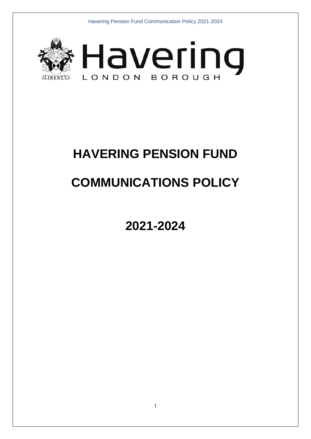



# **HAVERING PENSION FUND**

# **COMMUNICATIONS POLICY**

**2021-2024**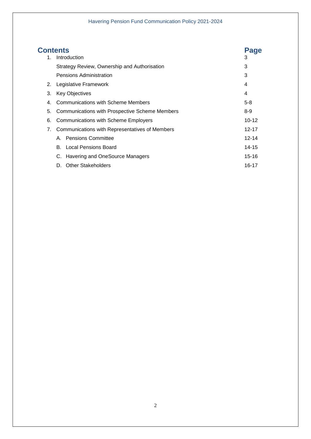|    | <b>Contents</b>                                | Page      |
|----|------------------------------------------------|-----------|
| 1. | Introduction                                   | 3         |
|    | Strategy Review, Ownership and Authorisation   | 3         |
|    | Pensions Administration                        | 3         |
| 2. | Legislative Framework                          | 4         |
| 3. | <b>Key Objectives</b>                          | 4         |
| 4. | Communications with Scheme Members             | $5 - 8$   |
| 5. | Communications with Prospective Scheme Members | $8-9$     |
| 6. | Communications with Scheme Employers           | $10 - 12$ |
| 7. | Communications with Representatives of Members | $12 - 17$ |
|    | A. Pensions Committee                          | $12 - 14$ |
|    | <b>B.</b> Local Pensions Board                 | 14-15     |
|    | C. Havering and OneSource Managers             | 15-16     |
|    | <b>Other Stakeholders</b><br>D.                | 16-17     |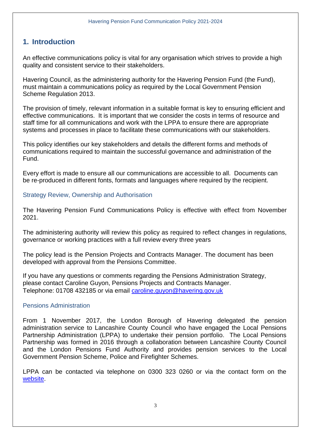### <span id="page-2-0"></span>**1. Introduction**

 An effective communications policy is vital for any organisation which strives to provide a high quality and consistent service to their stakeholders.

Havering Council, as the administering authority for the Havering Pension Fund (the Fund), must maintain a communications policy as required by the Local Government Pension Scheme Regulation 2013.

 staff time for all communications and work with the LPPA to ensure there are appropriate The provision of timely, relevant information in a suitable format is key to ensuring efficient and effective communications. It is important that we consider the costs in terms of resource and systems and processes in place to facilitate these communications with our stakeholders.

 communications required to maintain the successful governance and administration of the This policy identifies our key stakeholders and details the different forms and methods of Fund.

Every effort is made to ensure all our communications are accessible to all. Documents can be re-produced in different fonts, formats and languages where required by the recipient.

#### Strategy Review, Ownership and Authorisation

 The Havering Pension Fund Communications Policy is effective with effect from November 2021.

 The administering authority will review this policy as required to reflect changes in regulations, governance or working practices with a full review every three years

 The policy lead is the Pension Projects and Contracts Manager. The document has been developed with approval from the Pensions Committee.

If you have any questions or comments regarding the Pensions Administration Strategy, please contact Caroline Guyon, Pensions Projects and Contracts Manager. Telephone: 01708 432185 or via email [caroline.guyon@havering.gov.uk](mailto:caroline.guyon@havering.gov.uk) 

#### Pensions Administration

 From 1 November 2017, the London Borough of Havering delegated the pension administration service to Lancashire County Council who have engaged the Local Pensions Partnership Administration (LPPA) to undertake their pension portfolio. The Local Pensions Partnership was formed in 2016 through a collaboration between Lancashire County Council and the London Pensions Fund Authority and provides pension services to the Local Government Pension Scheme, Police and Firefighter Schemes.

 LPPA can be contacted via telephone on 0300 323 0260 or via the contact form on the [website.](https://www.lppapensions.co.uk/contact/contact-lppa/)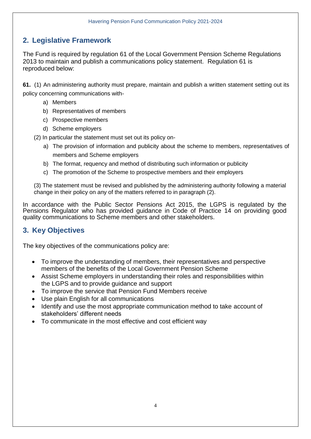# **2. Legislative Framework**

 The Fund is required by regulation 61 of the Local Government Pension Scheme Regulations 2013 to maintain and publish a communications policy statement. Regulation 61 is reproduced below:

 **61.** (1) A[n administering authority m](https://www.lgpsregs.org/schemeregs/lgpsregs2013/timeline.php#s1adau)ust prepare, maintain and publish a written statement setting out its policy concerning communications with-

- a) Members
- b) Representatives of members
- c) Prospective members
- d) Scheme employers
- (2) In particular the statement must set out its policy on-
	- a) The provision of information and publicity about the scheme to members, representatives of members and Scheme employers
	- b) The format, requency and method of distributing such information or publicity
	- c) The promotion of the Scheme to prospective members and their employers

 (3) The statement must be revised and published by the administering authority following a material change in their policy on any of the matters referred to in paragraph (2).

 In accordance with the Public Sector Pensions Act 2015, the LGPS is regulated by the Pensions Regulator who has provided guidance in Code of Practice 14 on providing good quality communications to Scheme members and other stakeholders.

# **3. Key Objectives**

The key objectives of the communications policy are:

- To improve the understanding of members, their representatives and perspective members of the benefits of the Local Government Pension Scheme
- Assist Scheme employers in understanding their roles and responsibilities within the LGPS and to provide guidance and support
- To improve the service that Pension Fund Members receive
- Use plain English for all communications
- Identify and use the most appropriate communication method to take account of stakeholders' different needs
- To communicate in the most effective and cost efficient way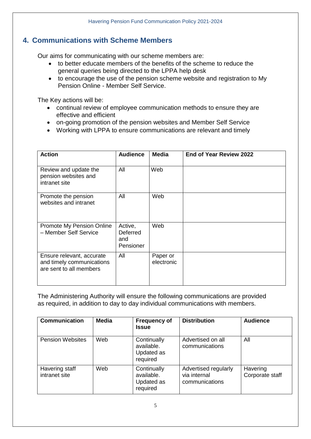# **4. Communications with Scheme Members**

Our aims for communicating with our scheme members are:

- general queries being directed to the LPPA help desk to better educate members of the benefits of the scheme to reduce the
- to encourage the use of the pension scheme website and registration to My Pension Online - Member Self Service.

The Key actions will be:

- continual review of employee communication methods to ensure they are effective and efficient
- on-going promotion of the pension websites and Member Self Service
- Working with LPPA to ensure communications are relevant and timely

| <b>Action</b>                                                                     | <b>Audience</b>                         | <b>Media</b>           | End of Year Review 2022 |
|-----------------------------------------------------------------------------------|-----------------------------------------|------------------------|-------------------------|
| Review and update the<br>pension websites and<br>intranet site                    | All                                     | Web                    |                         |
| Promote the pension<br>websites and intranet                                      | All                                     | Web                    |                         |
| Promote My Pension Online<br>- Member Self Service                                | Active,<br>Deferred<br>and<br>Pensioner | Web                    |                         |
| Ensure relevant, accurate<br>and timely communications<br>are sent to all members | All                                     | Paper or<br>electronic |                         |

The Administering Authority will ensure the following communications are provided as required, in addition to day to day individual communications with members.

| <b>Communication</b>            | <b>Media</b> | <b>Frequency of</b><br>Issue                        | <b>Distribution</b>                                    | <b>Audience</b>             |
|---------------------------------|--------------|-----------------------------------------------------|--------------------------------------------------------|-----------------------------|
| <b>Pension Websites</b>         | Web          | Continually<br>available.<br>Updated as<br>required | Advertised on all<br>communications                    | All                         |
| Havering staff<br>intranet site | Web          | Continually<br>available.<br>Updated as<br>required | Advertised regularly<br>via internal<br>communications | Havering<br>Corporate staff |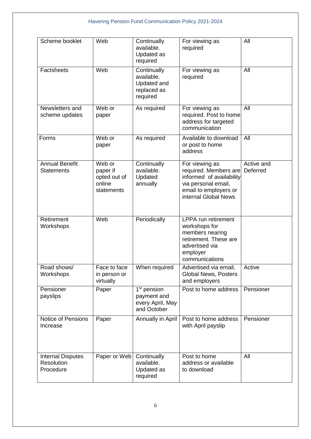| Scheme booklet                                             | Web                                                        | Continually<br>available.<br>Updated as<br>required                       | For viewing as<br>required                                                                                                                  | All                    |
|------------------------------------------------------------|------------------------------------------------------------|---------------------------------------------------------------------------|---------------------------------------------------------------------------------------------------------------------------------------------|------------------------|
| <b>Factsheets</b>                                          | Web                                                        | Continually<br>available.<br>Updated and<br>replaced as<br>required       | For viewing as<br>required                                                                                                                  | All                    |
| Newsletters and<br>scheme updates                          | Web or<br>paper                                            | As required                                                               | For viewing as<br>required. Post to home<br>address for targeted<br>communication                                                           | All                    |
| Forms                                                      | Web or<br>paper                                            | As required                                                               | Available to download<br>or post to home<br>address                                                                                         | All                    |
| <b>Annual Benefit</b><br><b>Statements</b>                 | Web or<br>paper if<br>opted out of<br>online<br>statements | Continually<br>available.<br>Updated<br>annually                          | For viewing as<br>required. Members are<br>informed of availability<br>via personal email,<br>email to employers or<br>internal Global News | Active and<br>Deferred |
| Retirement<br>Workshops                                    | Web                                                        | Periodically                                                              | <b>LPPA</b> run retirement<br>workshops for<br>members nearing<br>retirement. These are<br>advertised via<br>employer<br>communications     |                        |
| Road shows/<br>Workshops                                   | Face to face<br>in person or<br>virtually                  | When required                                                             | Advertised via email,<br><b>Global News, Posters</b><br>and employers                                                                       | Active                 |
| Pensioner<br>payslips                                      | Paper                                                      | 1 <sup>st</sup> pension<br>payment and<br>every April, May<br>and October | Post to home address                                                                                                                        | Pensioner              |
| Notice of Pensions<br>Increase                             | Paper                                                      | Annually in April                                                         | Post to home address<br>with April payslip                                                                                                  | Pensioner              |
| <b>Internal Disputes</b><br><b>Resolution</b><br>Procedure | Paper or Web                                               | Continually<br>available.<br>Updated as<br>required                       | Post to home<br>address or available<br>to download                                                                                         | All                    |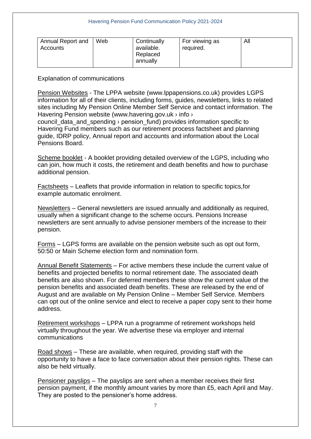| Annual Report and<br>Accounts | Web | Continually<br>available.<br>Replaced<br>annually | For viewing as<br>required. | All |
|-------------------------------|-----|---------------------------------------------------|-----------------------------|-----|
|-------------------------------|-----|---------------------------------------------------|-----------------------------|-----|

 information for all of their clients, including forms, guides, newsletters, links to related Pension Websites - The LPPA website ([www.lppapensions.co.uk\)](www.lppapensions.co.uk) provides LGPS sites including My Pension Online Member Self Service and contact information. The Havering Pension website [\(www.havering.gov.uk](www.havering.gov.uk) > info >

council data and spending  $\rightarrow$  pension fund) provides information specific to Havering Fund members such as our retirement process factsheet and planning guide, IDRP policy, Annual report and accounts and information about the Local Pensions Board.

Scheme booklet - A booklet providing detailed overview of the LGPS, including who can join, how much it costs, the retirement and death benefits and how to purchase additional pension.

Factsheets – Leaflets that provide information in relation to specific topics,for example automatic enrolment.

 newsletters are sent annually to advise pensioner members of the increase to their Newsletters – General newsletters are issued annually and additionally as required, usually when a significant change to the scheme occurs. Pensions Increase pension.

 50:50 or Main Scheme election form and nomination form. Forms – LGPS forms are available on the pension website such as opt out form,

 benefits and projected benefits to normal retirement date. The associated death benefits are also shown. For deferred members these show the current value of the pension benefits and associated death benefits. These are released by the end of can opt out of the online service and elect to receive a paper copy sent to their home Annual Benefit Statements – For active members these include the current value of August and are available on My Pension Online – Member Self Service. Members address.

Retirement workshops – LPPA run a programme of retirement workshops held virtually throughout the year. We advertise these via employer and internal communications

 opportunity to have a face to face conversation about their pension rights. These can Road shows – These are available, when required, providing staff with the also be held virtually.

Pensioner payslips – The payslips are sent when a member receives their first pension payment, if the monthly amount varies by more than £5, each April and May. They are posted to the pensioner's home address.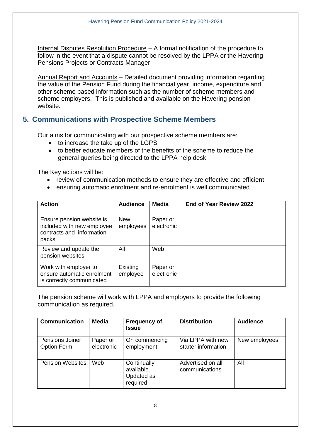Internal Disputes Resolution Procedure – A formal notification of the procedure to follow in the event that a dispute cannot be resolved by the LPPA or the Havering Pensions Projects or Contracts Manager

 the value of the Pension Fund during the financial year, income, expenditure and other scheme based information such as the number of scheme members and scheme employers. This is published and available on the Havering pension Annual Report and Accounts – Detailed document providing information regarding website.

#### **5. Communications with Prospective Scheme Members**

Our aims for communicating with our prospective scheme members are:

- to increase the take up of the LGPS
- general queries being directed to the LPPA help desk to better educate members of the benefits of the scheme to reduce the

The Key actions will be:

- review of communication methods to ensure they are effective and efficient
- ensuring automatic enrolment and re-enrolment is well communicated

| <b>Action</b>                                                                                 | <b>Audience</b>         | <b>Media</b>           | <b>End of Year Review 2022</b> |
|-----------------------------------------------------------------------------------------------|-------------------------|------------------------|--------------------------------|
| Ensure pension website is<br>included with new employee<br>contracts and information<br>packs | <b>New</b><br>employees | Paper or<br>electronic |                                |
| Review and update the<br>pension websites                                                     | All                     | Web                    |                                |
| Work with employer to<br>ensure automatic enrolment<br>is correctly communicated              | Existing<br>employee    | Paper or<br>electronic |                                |

 The pension scheme will work with LPPA and employers to provide the following communication as required.

| <b>Communication</b>           | <b>Media</b>           | <b>Frequency of</b><br><b>Issue</b>                 | <b>Distribution</b>                      | <b>Audience</b> |
|--------------------------------|------------------------|-----------------------------------------------------|------------------------------------------|-----------------|
| Pensions Joiner<br>Option Form | Paper or<br>electronic | On commencing<br>employment                         | Via LPPA with new<br>starter information | New employees   |
| <b>Pension Websites</b>        | Web                    | Continually<br>available.<br>Updated as<br>required | Advertised on all<br>communications      | All             |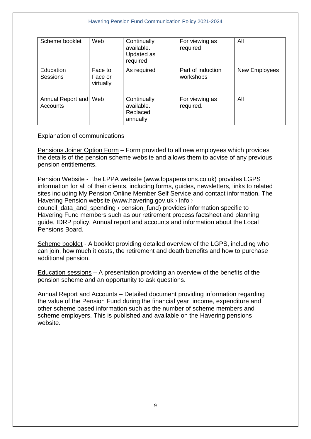| Scheme booklet                | Web                             | Continually<br>available.<br>Updated as<br>required | For viewing as<br>required     | All           |
|-------------------------------|---------------------------------|-----------------------------------------------------|--------------------------------|---------------|
| Education<br>Sessions         | Face to<br>Face or<br>virtually | As required                                         | Part of induction<br>workshops | New Employees |
| Annual Report and<br>Accounts | Web                             | Continually<br>available.<br>Replaced<br>annually   | For viewing as<br>required.    | All           |

Pensions Joiner Option Form – Form provided to all new employees which provides the details of the pension scheme website and allows them to advise of any previous pension entitlements.

 information for all of their clients, including forms, guides, newsletters, links to related Pension Website - The LPPA website ([www.lppapensions.co.uk\)](www.lppapensions.co.uk) provides LGPS sites including My Pension Online Member Self Service and contact information. The Havering Pension website [\(www.havering.gov.uk](www.havering.gov.uk) > info >

council\_data\_and\_spending › pension\_fund) provides information specific to Havering Fund members such as our retirement process factsheet and planning guide, IDRP policy, Annual report and accounts and information about the Local Pensions Board.

Scheme booklet - A booklet providing detailed overview of the LGPS, including who can join, how much it costs, the retirement and death benefits and how to purchase additional pension.

 Education sessions – A presentation providing an overview of the benefits of the pension scheme and an opportunity to ask questions.

 the value of the Pension Fund during the financial year, income, expenditure and other scheme based information such as the number of scheme members and Annual Report and Accounts – Detailed document providing information regarding scheme employers. This is published and available on the Havering pensions website.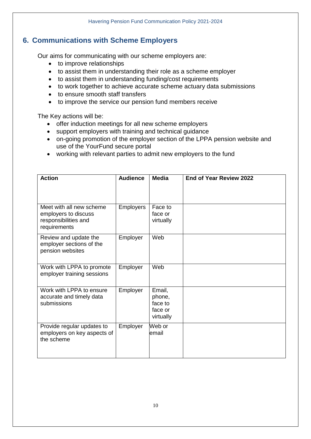# **6. Communications with Scheme Employers**

Our aims for communicating with our scheme employers are:

- to improve relationships
- to assist them in understanding their role as a scheme employer
- to assist them in understanding funding/cost requirements
- to work together to achieve accurate scheme actuary data submissions
- to ensure smooth staff transfers
- to improve the service our pension fund members receive

The Key actions will be:

- offer induction meetings for all new scheme employers
- support employers with training and technical guidance
- on-going promotion of the employer section of the LPPA pension website and use of the YourFund secure portal
- working with relevant parties to admit new employers to the fund

| <b>Action</b>                                                                            | <b>Audience</b>  | <b>Media</b>                                        | End of Year Review 2022 |
|------------------------------------------------------------------------------------------|------------------|-----------------------------------------------------|-------------------------|
| Meet with all new scheme<br>employers to discuss<br>responsibilities and<br>requirements | <b>Employers</b> | Face to<br>face or<br>virtually                     |                         |
| Review and update the<br>employer sections of the<br>pension websites                    | Employer         | Web                                                 |                         |
| Work with LPPA to promote<br>employer training sessions                                  | Employer         | Web                                                 |                         |
| Work with LPPA to ensure<br>accurate and timely data<br>submissions                      | Employer         | Email,<br>phone,<br>face to<br>face or<br>virtually |                         |
| Provide regular updates to<br>employers on key aspects of<br>the scheme                  | Employer         | Web or<br>email                                     |                         |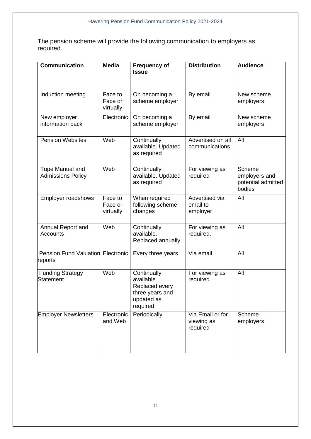The pension scheme will provide the following communication to employers as required.

| Communication                                       | <b>Media</b>                    | <b>Frequency of</b><br><b>Issue</b>                                                      | <b>Distribution</b>                        | <b>Audience</b>                                         |
|-----------------------------------------------------|---------------------------------|------------------------------------------------------------------------------------------|--------------------------------------------|---------------------------------------------------------|
| Induction meeting                                   | Face to<br>Face or<br>virtually | On becoming a<br>scheme employer                                                         | By email                                   | New scheme<br>employers                                 |
| New employer<br>information pack                    | Electronic                      | On becoming a<br>scheme employer                                                         | By email                                   | New scheme<br>employers                                 |
| <b>Pension Websites</b>                             | Web                             | Continually<br>available. Updated<br>as required                                         | Advertised on all<br>communications        | All                                                     |
| <b>Tupe Manual and</b><br><b>Admissions Policy</b>  | Web                             | Continually<br>available. Updated<br>as required                                         | For viewing as<br>required                 | Scheme<br>employers and<br>potential admitted<br>bodies |
| <b>Employer roadshows</b>                           | Face to<br>Face or<br>virtually | When required<br>following scheme<br>changes                                             | Advertised via<br>email to<br>employer     | All                                                     |
| Annual Report and<br>Accounts                       | Web                             | Continually<br>available.<br>Replaced annually                                           | For viewing as<br>required.                | All                                                     |
| <b>Pension Fund Valuation Electronic</b><br>reports |                                 | Every three years                                                                        | Via email                                  | All                                                     |
| <b>Funding Strategy</b><br><b>Statement</b>         | Web                             | Continually<br>available.<br>Replaced every<br>three years and<br>updated as<br>required | For viewing as<br>required.                | All                                                     |
| <b>Employer Newsletters</b>                         | Electronic<br>and Web           | Periodically                                                                             | Via Email or for<br>viewing as<br>required | Scheme<br>employers                                     |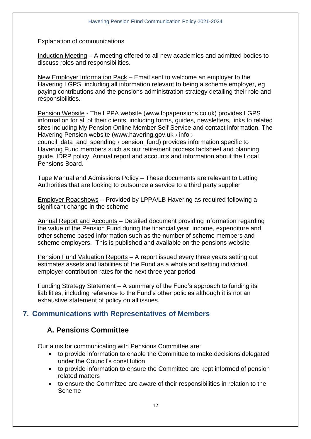Induction Meeting – A meeting offered to all new academies and admitted bodies to discuss roles and responsibilities.

New Employer Information Pack – Email sent to welcome an employer to the Havering LGPS, including all information relevant to being a scheme employer, eg paying contributions and the pensions administration strategy detailing their role and responsibilities.

 information for all of their clients, including forms, guides, newsletters, links to related Pension Website - The LPPA website ([www.lppapensions.co.uk\)](www.lppapensions.co.uk) provides LGPS sites including My Pension Online Member Self Service and contact information. The Havering Pension website [\(www.havering.gov.uk](www.havering.gov.uk) > info >

council data and spending *y* pension fund) provides information specific to Havering Fund members such as our retirement process factsheet and planning guide, IDRP policy, Annual report and accounts and information about the Local Pensions Board.

Tupe Manual and Admissions Policy - These documents are relevant to Letting Authorities that are looking to outsource a service to a third party supplier

Employer Roadshows – Provided by LPPA/LB Havering as required following a significant change in the scheme

 the value of the Pension Fund during the financial year, income, expenditure and other scheme based information such as the number of scheme members and Annual Report and Accounts – Detailed document providing information regarding scheme employers. This is published and available on the pensions website

Pension Fund Valuation Reports – A report issued every three years setting out estimates assets and liabilities of the Fund as a whole and setting individual employer contribution rates for the next three year period

 exhaustive statement of policy on all issues. Funding Strategy Statement – A summary of the Fund's approach to funding its liabilities, including reference to the Fund's other policies although it is not an

### **7. Communications with Representatives of Members**

### **A. Pensions Committee**

Our aims for communicating with Pensions Committee are:

- to provide information to enable the Committee to make decisions delegated under the Council's constitution
- to provide information to ensure the Committee are kept informed of pension related matters
- to ensure the Committee are aware of their responsibilities in relation to the Scheme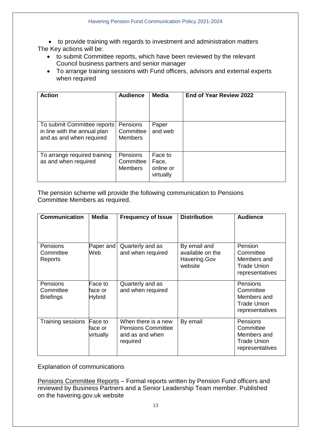to provide training with regards to investment and administration matters The Key actions will be:

- to submit Committee reports, which have been reviewed by the relevant Council business partners and senior manager
- To arrange training sessions with Fund officers, advisors and external experts when required

| <b>Action</b>                                                                           | <b>Audience</b>                         | Media                                      | End of Year Review 2022 |
|-----------------------------------------------------------------------------------------|-----------------------------------------|--------------------------------------------|-------------------------|
| To submit Committee reports<br>in line with the annual plan<br>and as and when required | Pensions<br>Committee<br><b>Members</b> | Paper<br>and web                           |                         |
| To arrange required training<br>as and when required                                    | Pensions<br>Committee<br><b>Members</b> | Face to<br>Face,<br>online or<br>virtually |                         |

The pension scheme will provide the following communication to Pensions Committee Members as required.

| <b>Communication</b>                             | Media                               | <b>Frequency of Issue</b>                                                       | <b>Distribution</b>                                         | <b>Audience</b>                                                                      |
|--------------------------------------------------|-------------------------------------|---------------------------------------------------------------------------------|-------------------------------------------------------------|--------------------------------------------------------------------------------------|
| Pensions<br>Committee<br>Reports                 | Paper and<br>Web                    | Quarterly and as<br>and when required                                           | By email and<br>available on the<br>Havering.Gov<br>website | Pension<br>Committee<br>Members and<br><b>Trade Union</b><br>representatives         |
| <b>Pensions</b><br>Committee<br><b>Briefings</b> | Face to<br>face or<br><b>Hybrid</b> | Quarterly and as<br>and when required                                           |                                                             | <b>Pensions</b><br>Committee<br>Members and<br><b>Trade Union</b><br>representatives |
| Training sessions                                | Face to<br>face or<br>virtually     | When there is a new<br><b>Pensions Committee</b><br>and as and when<br>required | By email                                                    | <b>Pensions</b><br>Committee<br>Members and<br><b>Trade Union</b><br>representatives |

Explanation of communications

 reviewed by Business Partners and a Senior Leadership Team member. Published Pensions Committee Reports – Formal reports written by Pension Fund officers and on the havering.gov.uk website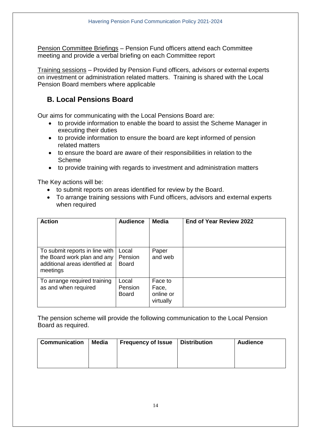Pension Committee Briefings – Pension Fund officers attend each Committee meeting and provide a verbal briefing on each Committee report

Training sessions – Provided by Pension Fund officers, advisors or external experts on investment or administration related matters. Training is shared with the Local Pension Board members where applicable

# **B. Local Pensions Board**

Our aims for communicating with the Local Pensions Board are:

- to provide information to enable the board to assist the Scheme Manager in executing their duties
- to provide information to ensure the board are kept informed of pension related matters
- to ensure the board are aware of their responsibilities in relation to the Scheme
- to provide training with regards to investment and administration matters

The Key actions will be:

- to submit reports on areas identified for review by the Board.
- To arrange training sessions with Fund officers, advisors and external experts when required

| <b>Action</b>                                                                                               | <b>Audience</b>                  | Media                                      | <b>End of Year Review 2022</b> |
|-------------------------------------------------------------------------------------------------------------|----------------------------------|--------------------------------------------|--------------------------------|
| To submit reports in line with<br>the Board work plan and any<br>additional areas identified at<br>meetings | Local<br>Pension<br><b>Board</b> | Paper<br>and web                           |                                |
| To arrange required training<br>as and when required                                                        | Local<br>Pension<br><b>Board</b> | Face to<br>Face,<br>online or<br>virtually |                                |

The pension scheme will provide the following communication to the Local Pension Board as required.

| <b>Communication</b> | <b>Media</b> | <b>Frequency of Issue</b> | <b>Distribution</b> | <b>Audience</b> |
|----------------------|--------------|---------------------------|---------------------|-----------------|
|                      |              |                           |                     |                 |
|                      |              |                           |                     |                 |
|                      |              |                           |                     |                 |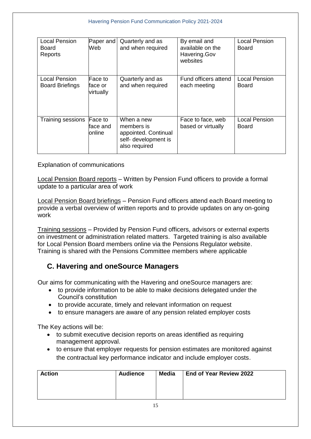| <b>Local Pension</b><br>Board<br>Reports | Paper and<br>Web                 | Quarterly and as<br>and when required                                                     | By email and<br>available on the<br>Havering.Gov<br>websites | <b>Local Pension</b><br>Board |
|------------------------------------------|----------------------------------|-------------------------------------------------------------------------------------------|--------------------------------------------------------------|-------------------------------|
| Local Pension<br><b>Board Briefings</b>  | lFace to<br>face or<br>virtually | Quarterly and as<br>and when required                                                     | Fund officers attend<br>each meeting                         | <b>Local Pension</b><br>Board |
| Training sessions                        | Face to<br>face and<br>online    | When a new<br>members is<br>appointed. Continual<br>self- development is<br>also required | Face to face, web<br>based or virtually                      | <b>Local Pension</b><br>Board |

Local Pension Board reports – Written by Pension Fund officers to provide a formal update to a particular area of work

Local Pension Board briefings – Pension Fund officers attend each Board meeting to provide a verbal overview of written reports and to provide updates on any on-going work

Training sessions – Provided by Pension Fund officers, advisors or external experts on investment or administration related matters. Targeted training is also available for Local Pension Board members online via the Pensions Regulator website. Training is shared with the Pensions Committee members where applicable

#### **C. Havering and oneSource Managers**

Our aims for communicating with the Havering and oneSource managers are:

- to provide information to be able to make decisions delegated under the Council's constitution
- to provide accurate, timely and relevant information on request
- to ensure managers are aware of any pension related employer costs

The Key actions will be:

- to submit executive decision reports on areas identified as requiring management approval.
- to ensure that employer requests for pension estimates are monitored against the contractual key performance indicator and include employer costs.

| <b>Action</b> | <b>Audience</b> | Media | <b>End of Year Review 2022</b> |
|---------------|-----------------|-------|--------------------------------|
|               |                 |       |                                |
|               |                 |       |                                |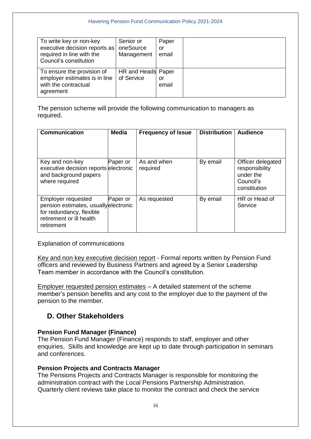| To write key or non-key<br>executive decision reports as<br>required in line with the<br>Council's constitution | Senior or<br>oneSource<br>Management | Paper<br>or<br>email |  |
|-----------------------------------------------------------------------------------------------------------------|--------------------------------------|----------------------|--|
| To ensure the provision of<br>employer estimates is in line<br>with the contractual<br>agreement                | HR and Heads Paper<br>of Service     | or<br>email          |  |

The pension scheme will provide the following communication to managers as required.

| <b>Communication</b>                                                                                                                    | <b>Media</b> | <b>Frequency of Issue</b> | <b>Distribution</b> | <b>Audience</b>                                                               |
|-----------------------------------------------------------------------------------------------------------------------------------------|--------------|---------------------------|---------------------|-------------------------------------------------------------------------------|
| Key and non-key<br>executive decision reports electronic<br>and background papers<br>where required                                     | Paper or     | As and when<br>required   | By email            | Officer delegated<br>responsibility<br>under the<br>Council's<br>constitution |
| <b>Employer requested</b><br>pension estimates, usuallyelectronic<br>for redundancy, flexible<br>retirement or ill health<br>retirement | Paper or     | As requested              | By email            | HR or Head of<br>Service                                                      |

Explanation of communications

 officers and reviewed by Business Partners and agreed by a Senior Leadership Key and non key executive decision report - Formal reports written by Pension Fund Team member in accordance with the Council's constitution.

 member's pension benefits and any cost to the employer due to the payment of the Employer requested pension estimates – A detailed statement of the scheme pension to the member.

### **D. Other Stakeholders**

#### **Pension Fund Manager (Finance)**

 enquiries. Skills and knowledge are kept up to date through participation in seminars The Pension Fund Manager (Finance) responds to staff, employer and other and conferences.

#### **Pension Projects and Contracts Manager**

 Quarterly client reviews take place to monitor the contract and check the service The Pensions Projects and Contracts Manager is responsible for monitoring the administration contract with the Local Pensions Partnership Administration.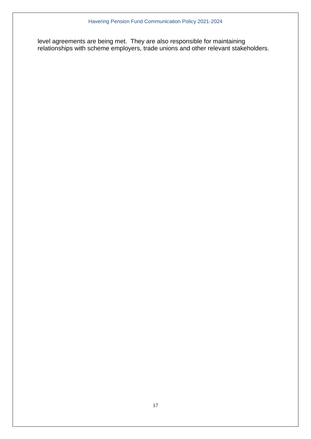level agreements are being met. They are also responsible for maintaining relationships with scheme employers, trade unions and other relevant stakeholders.